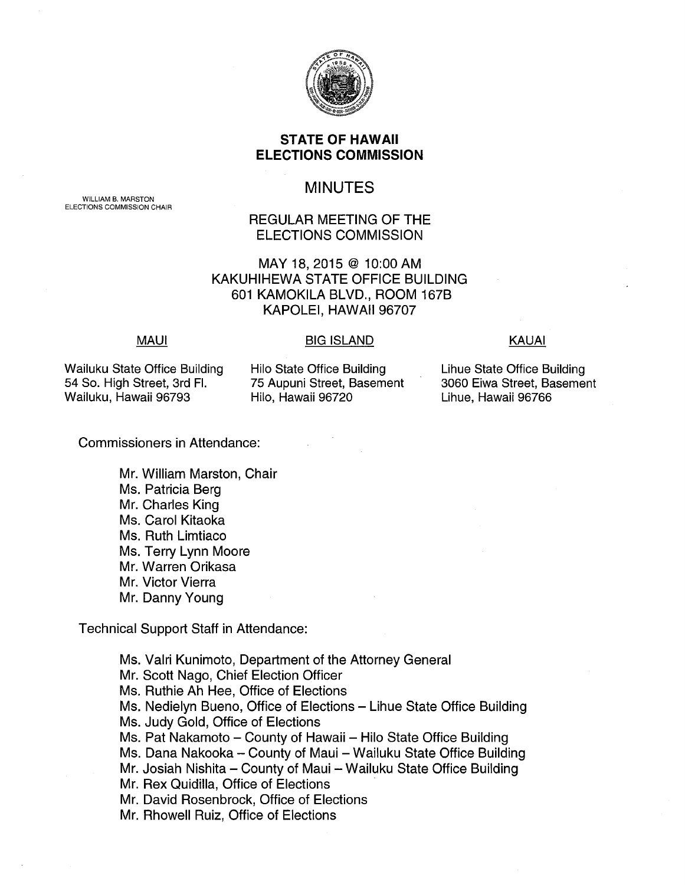

## **STATE OF HAWAII ELECTIONS COMMISSION**

# MINUTES

REGULAR MEETING OF THE ELECTIONS COMMISSION

MAY 18, 2015 @ 10:00 AM KAKUHIHEWA STATE OFFICE BUILDING 601 KAMOKILA BLVD., ROOM 167B KAPOLEI, HAWAII 96707

### **MAUI**

#### BIG ISLAND KAUAI

Wailuku State Office Building 54 So. High Street, 3rd Fl. Wailuku, Hawaii 96793

Hilo State Office Building 75 Aupuni Street, Basement Hilo, Hawaii 96720

Lihue State Office Building 3060 Eiwa Street, Basement Lihue, Hawaii 96766

Commissioners in Attendance:

Mr. William Marston, Chair Ms. Patricia Berg Mr. Charles King Ms. Carol Kitaoka Ms. Ruth Limtiaco Ms. Terry Lynn Moore Mr. Warren Orikasa Mr. Victor Vierra Mr. Danny Young

Technical Support Staff in Attendance:

Ms. Valri Kunimoto, Department of the Attorney General Mr. Scott Nago, Chief Election Officer Ms. Ruthie Ah Hee, Office of Elections Ms. Nedielyn Bueno, Office of Elections - Lihue State Office Building Ms. Judy Gold, Office of Elections Ms. Pat Nakamoto - County of Hawaii - Hilo State Office Building Ms. Dana Nakooka - County of Maui - Wailuku State Office Building Mr. Josiah Nishita - County of Maui - Wailuku State Office Building Mr. Rex Quidilla, Office of Elections Mr. David Rosenbrock, Office of Elections Mr. Rhowell Ruiz, Office of Elections

WILLIAM B. MARSTON ELECTIONS COMMISSION CHAIR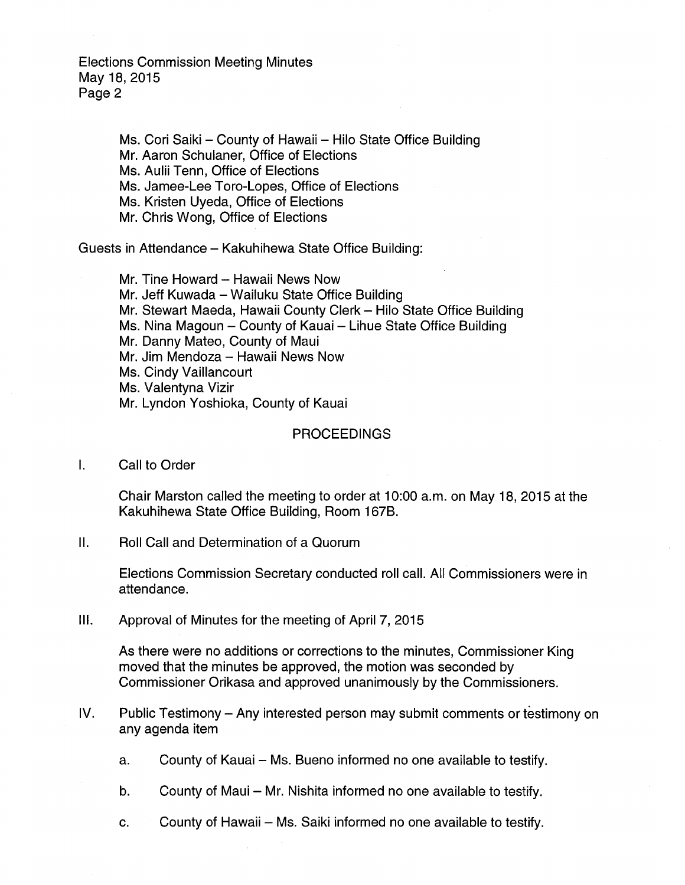> Ms. Cori Saiki - County of Hawaii - Hilo State Office Building Mr. Aaron Schulaner, Office of Elections Ms. Aulii Tenn, Office of Elections Ms. Jamee-Lee Toro-Lopes, Office of Elections Ms. Kristen Uyeda, Office of Elections Mr. Chris Wong, Office of Elections

Guests in Attendance- Kakuhihewa State Office Building:

Mr. Tine Howard - Hawaii News Now Mr. Jeff Kuwada- Wailuku State Office Building Mr. Stewart Maeda, Hawaii County Clerk- Hilo State Office Building Ms. Nina Magoun - County of Kauai - Lihue State Office Building Mr. Danny Mateo, County of Maui Mr. Jim Mendoza - Hawaii News Now Ms. Cindy Vaillancourt Ms. Valentyna Vizir Mr. Lyndon Yoshioka, County of Kauai

### PROCEEDINGS

I. Call to Order

Chair Marston called the meeting to order at 10:00 a.m. on May 18, 2015 at the Kakuhihewa State Office Building, Room 167B.

II. Roll Call and Determination of a Quorum

Elections Commission Secretary conducted roll call. All Commissioners were in attendance.

Ill. Approval of Minutes for the meeting of April 7, 2015

As there were no additions or corrections to the minutes, Commissioner King moved that the minutes be approved, the motion was seconded by Commissioner Orikasa and approved unanimously by the Commissioners.

- IV. Public Testimony- Any interested person may submit comments or testimony on any agenda item
	- a. County of Kauai Ms. Bueno informed no one available to testify.
	- b. County of Maui Mr. Nishita informed no one available to testify.
	- c. County of Hawaii Ms. Saiki informed no one available to testify.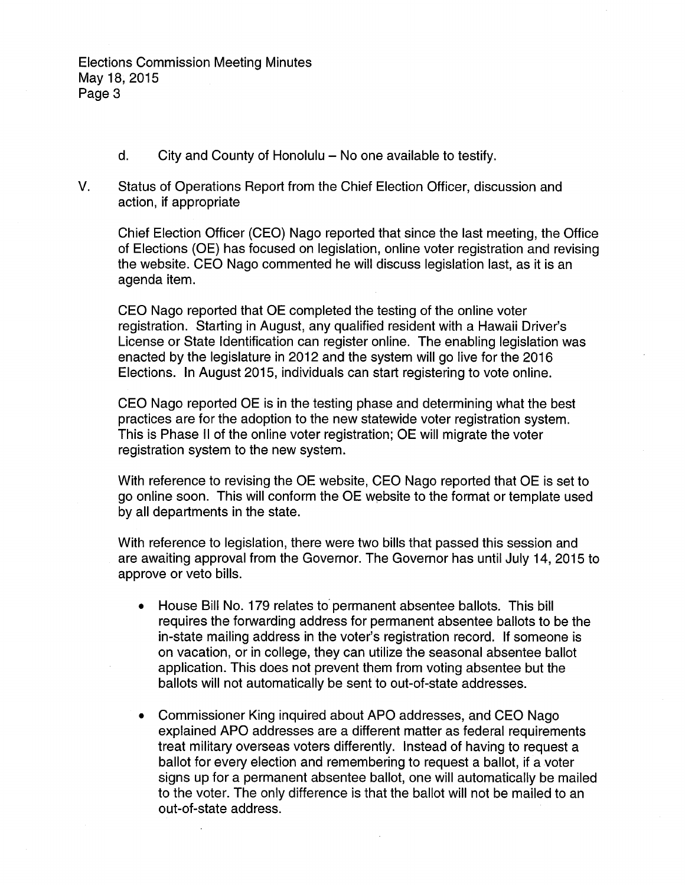- d. City and County of Honolulu  $-$  No one available to testify.
- V. Status of Operations Report from the Chief Election Officer, discussion and action, if appropriate

Chief Election Officer (CEO) Nago reported that since the last meeting, the Office of Elections (OE) has focused on legislation, online voter registration and revising the website. CEO Nago commented he will discuss legislation last, as it is an agenda item.

CEO Nago reported that OE completed the testing of the online voter registration. Starting in August, any qualified resident with a Hawaii Driver's License or State Identification can register online. The enabling legislation was enacted by the legislature in 2012 and the system will go live for the 2016 Elections. In August 2015, individuals can start registering to vote online.

CEO Nago reported OE is in the testing phase and determining what the best practices are for the adoption to the new statewide voter registration system. This is Phase II of the online voter registration; OE will migrate the voter registration system to the new system.

With reference to revising the OE website, CEO Nago reported that OE is set to go online soon. This will conform the OE website to the format or template used by all departments in the state.

With reference to legislation, there were two bills that passed this session and are awaiting approval from the Governor. The Governor has until July 14, 2015 to approve or veto bills.

- House Bill No. 179 relates to permanent absentee ballots. This bill requires the forwarding address for permanent absentee ballots to be the in-state mailing address in the voter's registration record. If someone is on vacation, or in college, they can utilize the seasonal absentee ballot application. This does not prevent them from voting absentee but the ballots will not automatically be sent to out-of-state addresses.
- Commissioner King inquired about APO addresses, and CEO Nago explained APO addresses are a different matter as federal requirements treat military overseas voters differently. Instead of having to request a ballot for every election and remembering to request a ballot, if a voter signs up for a permanent absentee ballot, one will automatically be mailed to the voter. The only difference is that the ballot will not be mailed to an out-of-state address.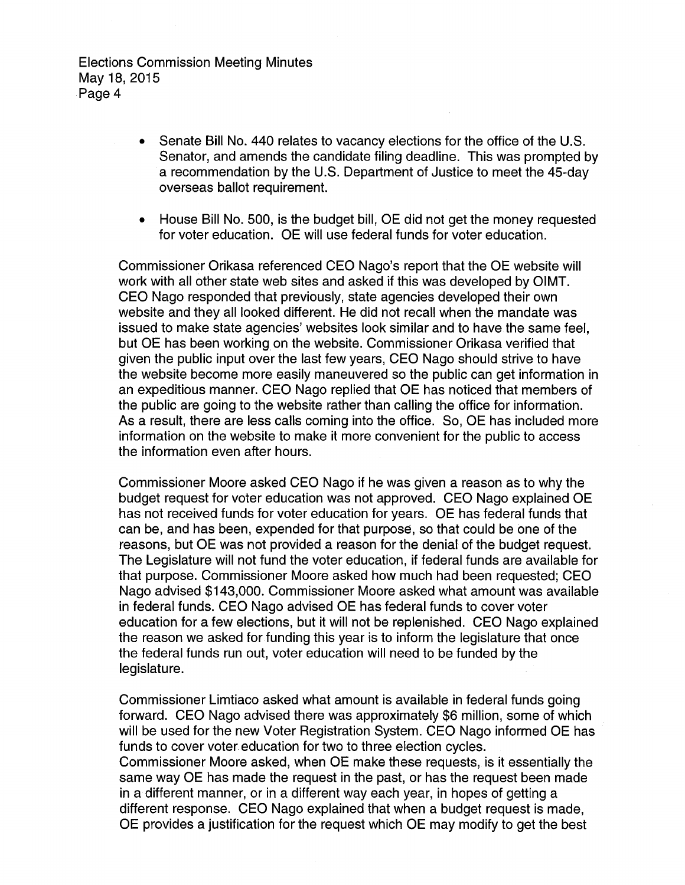- Senate Bill No. 440 relates to vacancy elections for the office of the U.S. Senator, and amends the candidate filing deadline. This was prompted by a recommendation by the U.S. Department of Justice to meet the 45-day overseas ballot requirement.
- House Bill No. 500, is the budget bill, OE did not get the money requested for voter education. OE will use federal funds for voter education.

Commissioner Orikasa referenced CEO Nago's report that the OE website will work with all other state web sites and asked if this was developed by OIMT. CEO Nago responded that previously, state agencies developed their own website and they all looked different. He did not recall when the mandate was issued to make state agencies' websites look similar and to have the same feel, but OE has been working on the website. Commissioner Orikasa verified that given the public input over the last few years, CEO Nago should strive to have the website become more easily maneuvered so the public can get information in an expeditious manner. CEO Nago replied that OE has noticed that members of the public are going to the website rather than calling the office for information. As a result, there are less calls coming into the office. So, OE has included more information on the website to make it more convenient for the public to access the information even after hours.

Commissioner Moore asked CEO Nago if he was given a reason as to why the budget request for voter education was not approved. CEO Nago explained OE has not received funds for voter education for years. OE has federal funds that can be, and has been, expended for that purpose, so that could be one of the reasons, but OE was not provided a reason for the denial of the budget request. The Legislature will not fund the voter education, if federal funds are available for that purpose. Commissioner Moore asked how much had been requested; CEO Nago advised \$143,000. Commissioner Moore asked what amount was available in federal funds. CEO Nago advised OE has federal funds to cover voter education for a few elections, but it will not be replenished. CEO Nago explained the reason we asked for funding this year is to inform the legislature that once the federal funds run out, voter education will need to be funded by the legislature.

Commissioner Limtiaco asked what amount is available in federal funds going forward. CEO Nago advised there was approximately \$6 million, some of which will be used for the new Voter Registration System. CEO Nago informed OE has funds to cover voter education for two to three election cycles. Commissioner Moore asked, when OE make these requests, is it essentially the same way OE has made the request in the past, or has the request been made in a different manner, or in a different way each year, in hopes of getting a different response. CEO Nago explained that when a budget request is made, OE provides a justification for the request which OE may modify to get the best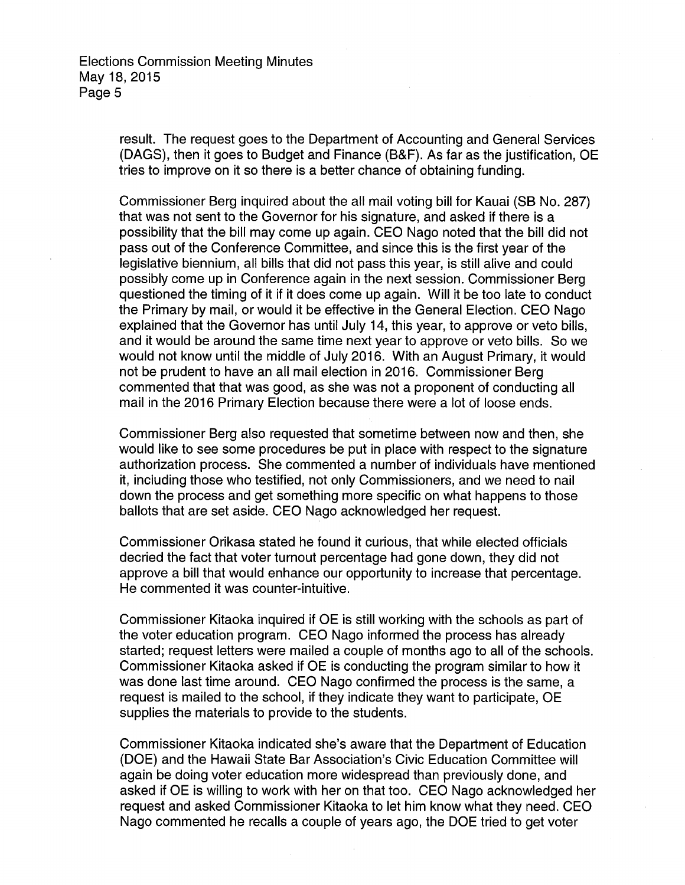> result. The request goes to the Department of Accounting and General Services (DAGS), then it goes to Budget and Finance (B&F). As far as the justification, OE tries to improve on it so there is a better chance of obtaining funding.

Commissioner Berg inquired about the all mail voting bill for Kauai (SB No. 287) that was not sent to the Governor for his signature, and asked if there is a possibility that the bill may come up again. CEO Nago noted that the bill did not pass out of the Conference Committee, and since this is the first year of the legislative biennium, all bills that did not pass this year, is still alive and could possibly come up in Conference again in the next session. Commissioner Berg questioned the timing of it if it does come up again. Will it be too late to conduct the Primary by mail, or would it be effective in the General Election. CEO Nago explained that the Governor has until July 14, this year, to approve or veto bills, and it would be around the same time next year to approve or veto bills. So we would not know until the middle of July 2016. With an August Primary, it would not be prudent to have an all mail election in 2016. Commissioner Berg commented that that was good, as she was not a proponent of conducting all mail in the 2016 Primary Election because there were a lot of loose ends.

Commissioner Berg also requested that sometime between now and then, she would like to see some procedures be put in place with respect to the signature authorization process. She commented a number of individuals have mentioned it, including those who testified, not only Commissioners, and we need to nail down the process and get something more specific on what happens to those ballots that are set aside. CEO Nago acknowledged her request.

Commissioner Orikasa stated he found it curious, that while elected officials decried the fact that voter turnout percentage had gone down, they did not approve a bill that would enhance our opportunity to increase that percentage. He commented it was counter-intuitive.

Commissioner Kitaoka inquired if OE is still working with the schools as part of the voter education program. CEO Nago informed the process has already started; request letters were mailed a couple of months ago to all of the schools. Commissioner Kitaoka asked if OE is conducting the program similar to how it was done last time around. CEO Nago confirmed the process is the same, a request is mailed to the school, if they indicate they want to participate, OE supplies the materials to provide to the students.

Commissioner Kitaoka indicated she's aware that the Department of Education (DOE) and the Hawaii State Bar Association's Civic Education Committee will again be doing voter education more widespread than previously done, and asked if OE is willing to work with her on that too. CEO Nago acknowledged her request and asked Commissioner Kitaoka to let him know what they need. CEO Nago commented he recalls a couple of years ago, the DOE tried to get voter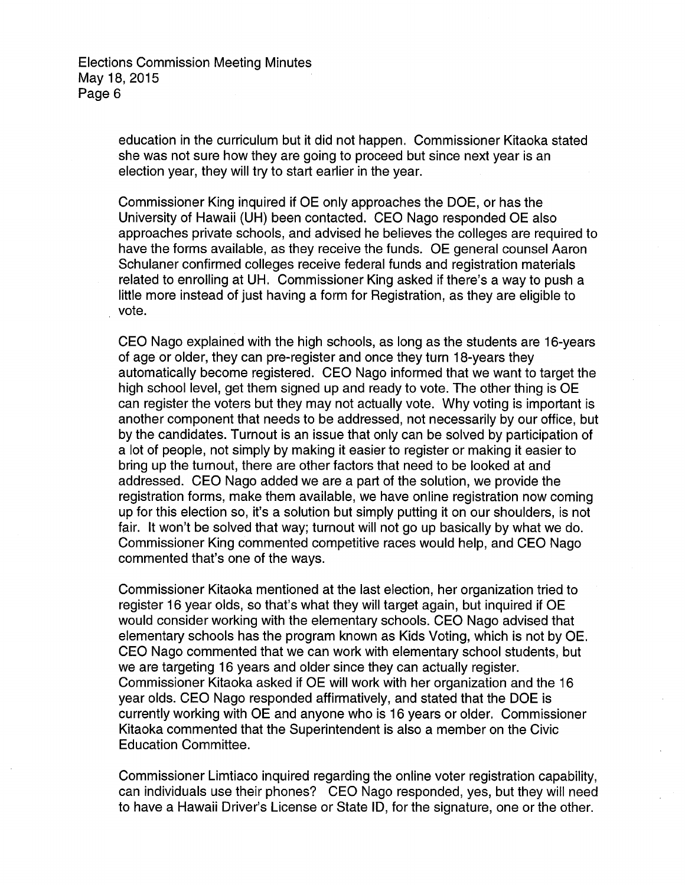> education in the curriculum but it did not happen. Commissioner Kitaoka stated she was not sure how they are going to proceed but since next year is an election year, they will try to start earlier in the year.

Commissioner King inquired if OE only approaches the DOE, or has the University of Hawaii (UH) been contacted. CEO Nago responded OE also approaches private schools, and advised he believes the colleges are required to have the forms available, as they receive the funds. OE general counsel Aaron Schulaner confirmed colleges receive federal funds and registration materials related to enrolling at UH. Commissioner King asked if there's a way to push a little more instead of just having a form for Registration, as they are eligible to vote.

CEO Nago explained with the high schools, as long as the students are 16-years of age or older, they can pre-register and once they turn 18-years they automatically become registered. CEO Nago informed that we want to target the high school level, get them signed up and ready to vote. The other thing is OE can register the voters but they may not actually vote. Why voting is important is another component that needs to be addressed, not necessarily by our office, but by the candidates. Turnout is an issue that only can be solved by participation of a lot of people, not simply by making it easier to register or making it easier to bring up the turnout, there are other factors that need to be looked at and addressed. CEO Nago added we are a part of the solution, we provide the registration forms, make them available, we have online registration now coming up for this election so, it's a solution but simply putting it on our shoulders, is not fair. It won't be solved that way; turnout will not go up basically by what we do. Commissioner King commented competitive races would help, and CEO Nago commented that's one of the ways.

Commissioner Kitaoka mentioned at the last election, her organization tried to register 16 year olds, so that's what they will target again, but inquired if OE would consider working with the elementary schools. CEO Nago advised that elementary schools has the program known as Kids Voting, which is not by OE. CEO Nago commented that we can work with elementary school students, but we are targeting 16 years and older since they can actually register. Commissioner Kitaoka asked if OE will work with her organization and the 16 year olds. CEO Nago responded affirmatively, and stated that the DOE is currently working with OE and anyone who is 16 years or older. Commissioner Kitaoka commented that the Superintendent is also a member on the Civic Education Committee.

Commissioner Limtiaco inquired regarding the online voter registration capability, can individuals use their phones? CEO Nago responded, yes, but they will need to have a Hawaii Driver's License or State ID, for the signature, one or the other.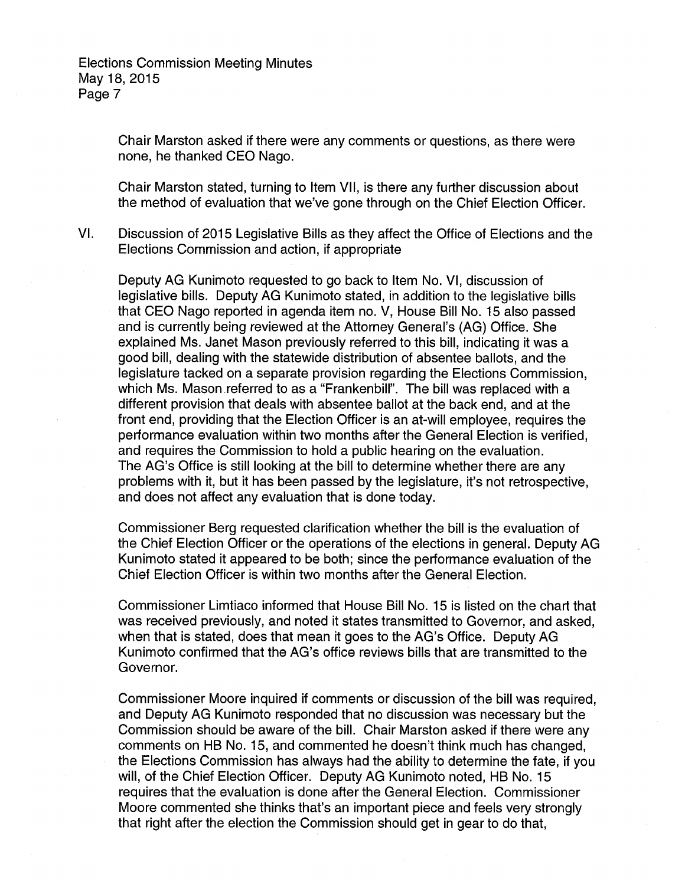> Chair Marston asked if there were any comments or questions, as there were none, he thanked CEO Nago.

Chair Marston stated, turning to Item VII, is there any further discussion about the method of evaluation that we've gone through on the Chief Election Officer.

VI. Discussion of 2015 Legislative Bills as they affect the Office of Elections and the Elections Commission and action, if appropriate

Deputy AG Kunimoto requested to go back to Item No. VI, discussion of legislative bills. Deputy AG Kunimoto stated, in addition to the legislative bills that CEO Nago reported in agenda item no. V, House Bill No. 15 also passed and is currently being reviewed at the Attorney General's (AG) Office. She explained Ms. Janet Mason previously referred to this bill, indicating it was a good bill, dealing with the statewide distribution of absentee ballots, and the legislature tacked on a separate provision regarding the Elections Commission, which Ms. Mason referred to as a "Frankenbill". The bill was replaced with a different provision that deals with absentee ballot at the back end, and at the front end, providing that the Election Officer is an at-will employee, requires the performance evaluation within two months after the General Election is verified, and requires the Commission to hold a public hearing on the evaluation. The AG's Office is still looking at the bill to determine whether there are any problems with it, but it has been passed by the legislature, it's not retrospective, and does not affect any evaluation that is done today.

Commissioner Berg requested clarification whether the bill is the evaluation of the Chief Election Officer or the operations of the elections in general. Deputy AG Kunimoto stated it appeared to be both; since the performance evaluation of the Chief Election Officer is within two months after the General Election.

Commissioner Limtiaco informed that House Bill No. 15 is listed on the chart that was received previously, and noted it states transmitted to Governor, and asked, when that is stated, does that mean it goes to the AG's Office. Deputy AG Kunimoto confirmed that the AG's office reviews bills that are transmitted to the Governor.

Commissioner Moore inquired if comments or discussion of the bill was required, and Deputy AG Kunimoto responded that no discussion was necessary but the Commission should be aware of the bill. Chair Marston asked if there were any comments on HB No. 15, and commented he doesn't think much has changed, the Elections Commission has always had the ability to determine the fate, if you will, of the Chief Election Officer. Deputy AG Kunimoto noted, HB No. 15 requires that the evaluation is done after the General Election. Commissioner Moore commented she thinks that's an important piece and feels very strongly that right after the election the Commission should get in gear to do that,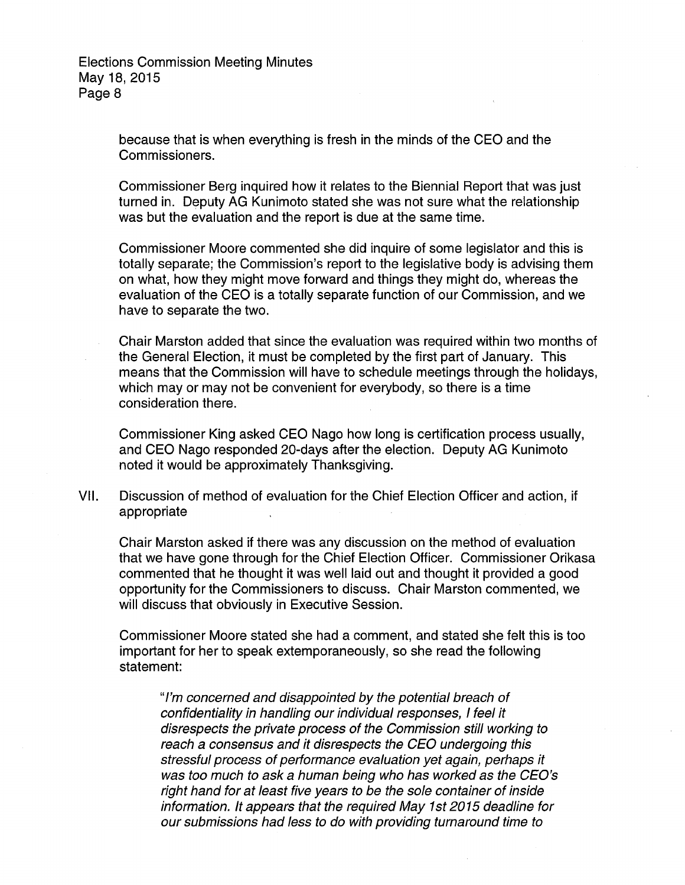> because that is when everything is fresh in the minds of the CEO and the Commissioners.

Commissioner Berg inquired how it relates to the Biennial Report that was just turned in. Deputy AG Kunimoto stated she was not sure what the relationship was but the evaluation and the report is due at the same time.

Commissioner Moore commented she did inquire of some legislator and this is totally separate; the Commission's report to the legislative body is advising them on what, how they might move forward and things they might do, whereas the evaluation of the CEO is a totally separate function of our Commission, and we have to separate the two.

Chair Marston added that since the evaluation was required within two months of the General Election, it must be completed by the first part of January. This means that the Commission will have to schedule meetings through the holidays, which may or may not be convenient for everybody, so there is a time consideration there.

Commissioner King asked CEO Nago how long is certification process usually, and CEO Nago responded 20-days after the election. Deputy AG Kunimoto noted it would be approximately Thanksgiving.

VII. Discussion of method of evaluation for the Chief Election Officer and action, if appropriate

Chair Marston asked if there was any discussion on the method of evaluation that we have gone through for the Chief Election Officer. Commissioner Orikasa commented that he thought it was well laid out and thought it provided a good opportunity for the Commissioners to discuss. Chair Marston commented, we will discuss that obviously in Executive Session.

Commissioner Moore stated she had a comment, and stated she felt this is too important for her to speak extemporaneously, so she read the following statement:

"I'm concerned and disappointed by the potential breach of confidentiality in handling our individual responses, I feel it disrespects the private process of the Commission still working to reach a consensus and it disrespects the CEO undergoing this stressful process of performance evaluation yet again, perhaps it was too much to ask a human being who has worked as the CEO's right hand for at least five years to be the sole container of inside information. It appears that the required May 1st 2015 deadline for our submissions had less to do with providing turnaround time to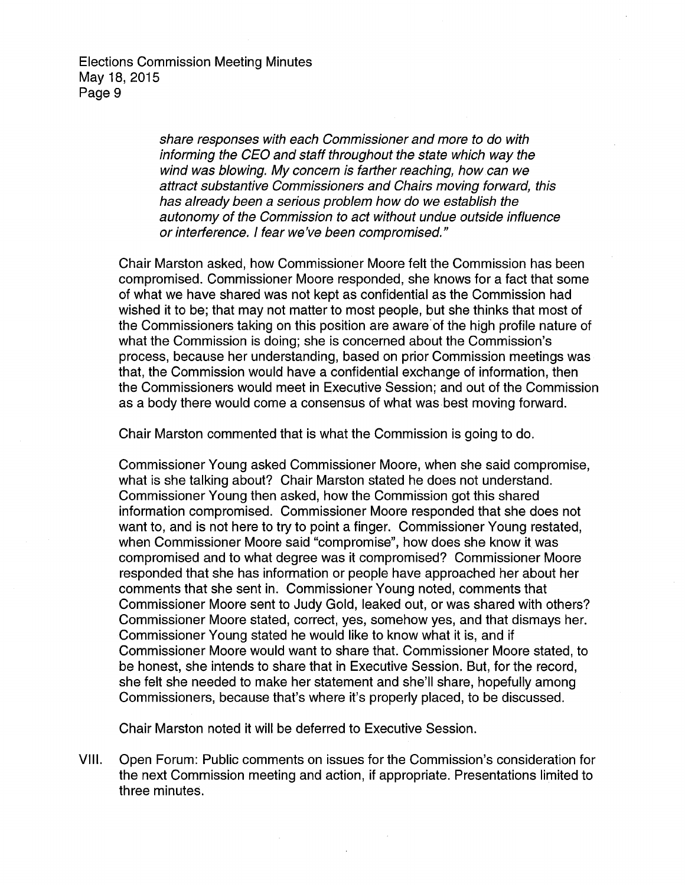> share responses with each Commissioner and more to do with informing the CEO and staff throughout the state which way the wind was blowing. My concern is farther reaching, how can we attract substantive Commissioners and Chairs moving forward, this has already been a serious problem how do we establish the autonomy of the Commission to act without undue outside influence or interference. I fear we've been compromised."

Chair Marston asked, how Commissioner Moore felt the Commission has been compromised. Commissioner Moore responded, she knows for a fact that some of what we have shared was not kept as confidential as the Commission had wished it to be; that may not matter to most people, but she thinks that most of the Commissioners taking on this position are aware'of the high profile nature of what the Commission is doing; she is concerned about the Commission's process, because her understanding, based on prior Commission meetings was that, the Commission would have a confidential exchange of information, then the Commissioners would meet in Executive Session; and out of the Commission as a body there would come a consensus of what was best moving forward.

Chair Marston commented that is what the Commission is going to do.

Commissioner Young asked Commissioner Moore, when she said compromise, what is she talking about? Chair Marston stated he does not understand. Commissioner Young then asked, how the Commission got this shared information compromised. Commissioner Moore responded that she does not want to, and is not here to try to point a finger. Commissioner Young restated, when Commissioner Moore said "compromise", how does she know it was compromised and to what degree was it compromised? Commissioner Moore responded that she has information or people have approached her about her comments that she sent in. Commissioner Young noted, comments that Commissioner Moore sent to Judy Gold, leaked out, or was shared with others? Commissioner Moore stated, correct, yes, somehow yes, and that dismays her. Commissioner Young stated he would like to know what it is, and if Commissioner Moore would want to share that. Commissioner Moore stated, to be honest, she intends to share that in Executive Session. But, for the record, she felt she needed to make her statement and she'll share, hopefully among Commissioners, because that's where it's properly placed, to be discussed.

Chair Marston noted it will be deferred to Executive Session.

VIII. Open Forum: Public comments on issues for the Commission's consideration for the next Commission meeting and action, if appropriate. Presentations limited to three minutes.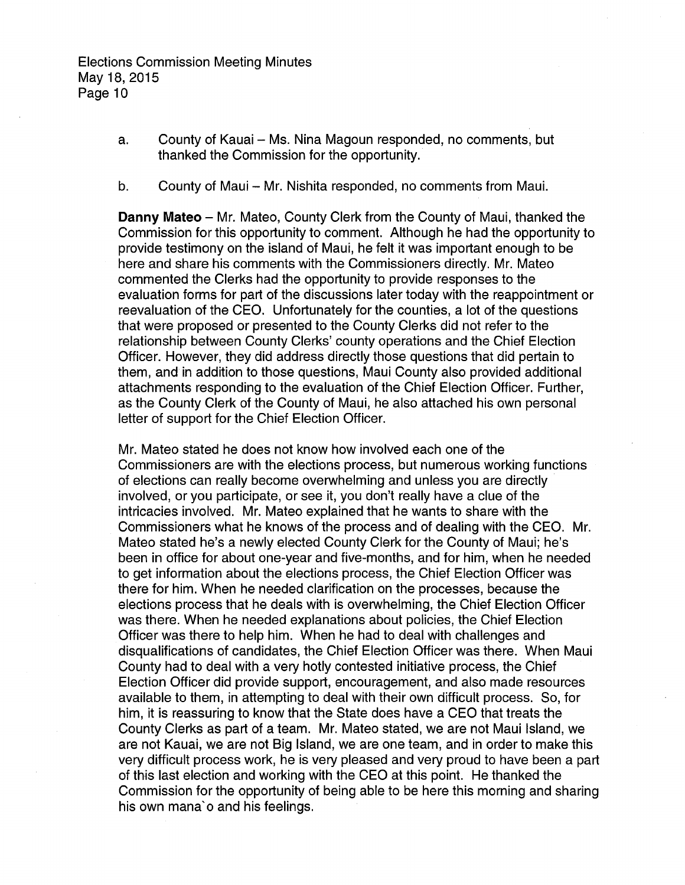- a. County of Kauai Ms. Nina Magoun responded, no comments, but thanked the Commission for the opportunity.
- b. County of Maui Mr. Nishita responded, no comments from Maui.

**Danny Mateo-** Mr. Mateo, County Clerk from the County of Maui, thanked the Commission for this opportunity to comment. Although he had the opportunity to provide testimony on the island of Maui, he felt it was important enough to be here and share his comments with the Commissioners directly. Mr. Mateo commented the Clerks had the opportunity to provide responses to the evaluation forms for part of the discussions later today with the reappointment or reevaluation of the CEO. Unfortunately for the counties, a lot of the questions that were proposed or presented to the County Clerks did not refer to the relationship between County Clerks' county operations and the Chief Election Officer. However, they did address directly those questions that did pertain to them, and in addition to those questions, Maui County also provided additional attachments responding to the evaluation of the Chief Election Officer. Further, as the County Clerk of the County of Maui, he also attached his own personal letter of support for the Chief Election Officer.

Mr. Mateo stated he does not know how involved each one of the Commissioners are with the elections process, but numerous working functions of elections can really become overwhelming and unless you are directly involved, or you participate, or see it, you don't really have a clue of the intricacies involved. Mr. Mateo explained that he wants to share with the Commissioners what he knows of the process and of dealing with the CEO. Mr. Mateo stated he's a newly elected County Clerk for the County of Maui; he's been in office for about one-year and five-months, and for him, when he needed to get information about the elections process, the Chief Election Officer was there for him. When he needed clarification on the processes, because the elections process that he deals with is overwhelming, the Chief Election Officer was there. When he needed explanations about policies, the Chief Election Officer was there to help him. When he had to deal with challenges and disqualifications of candidates, the Chief Election Officer was there. When Maui County had to deal with a very hotly contested initiative process, the Chief Election Officer did provide support, encouragement, and also made resources available to them, in attempting to deal with their own difficult process. So, for him, it is reassuring to know that the State does have a CEO that treats the County Clerks as part of a team. Mr. Mateo stated, we are not Maui Island, we are not Kauai, we are not Big Island, we are one team, and in order to make this very difficult process work, he is very pleased and very proud to have been a part of this last election and working with the CEO at this point. He thanked the Commission for the opportunity of being able to be here this morning and sharing his own mana' o and his feelings.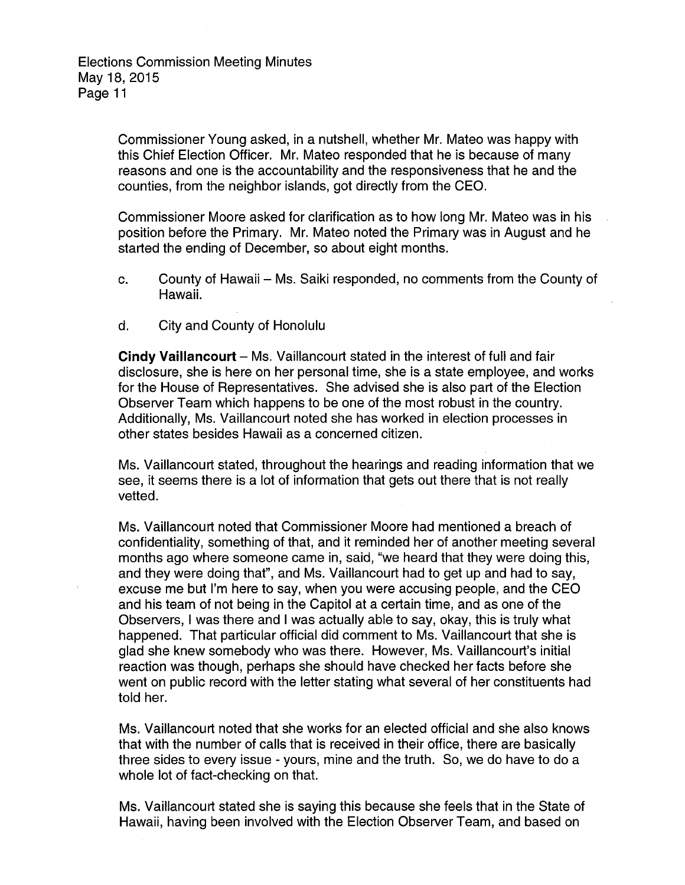> Commissioner Young asked, in a nutshell, whether Mr. Mateo was happy with this Chief Election Officer. Mr. Mateo responded that he is because of many reasons and one is the accountability and the responsiveness that he and the counties, from the neighbor islands, got directly from the CEO.

Commissioner Moore asked for clarification as to how long Mr. Mateo was in his position before the Primary. Mr. Mateo noted the Primary was in August and he started the ending of December, so about eight months.

- c. County of Hawaii Ms. Saiki responded, no comments from the County of Hawaii.
- d. City and County of Honolulu

**Cindy Vaillancourt** – Ms. Vaillancourt stated in the interest of full and fair disclosure, she is here on her personal time, she is a state employee, and works for the House of Representatives. She advised she is also part of the Election Observer Team which happens to be one of the most robust in the country. Additionally, Ms. Vaillancourt noted she has worked in election processes in other states besides Hawaii as a concerned citizen.

Ms. Vaillancourt stated, throughout the hearings and reading information that we see, it seems there is a lot of information that gets out there that is not really vetted.

Ms. Vaillancourt noted that Commissioner Moore had mentioned a breach of confidentiality, something of that, and it reminded her of another meeting several months ago where someone came in, said, "we heard that they were doing this, and they were doing that", and Ms. Vaillancourt had to get up and had to say, excuse me but I'm here to say, when you were accusing people, and the CEO and his team of not being in the Capitol at a certain time, and as one of the Observers, I was there and I was actually able to say, okay, this is truly what happened. That particular official did comment to Ms. Vaillancourt that she is glad she knew somebody who was there. However, Ms. Vaillancourt's initial reaction was though, perhaps she should have checked her facts before she went on public record with the letter stating what several of her constituents had told her.

Ms. Vaillancourt noted that she works for an elected official and she also knows that with the number of calls that is received in their office, there are basically three sides to every issue- yours, mine and the truth. So, we do have to do a whole lot of fact-checking on that.

Ms. Vaillancourt stated she is saying this because she feels that in the State of Hawaii, having been involved with the Election Observer Team, and based on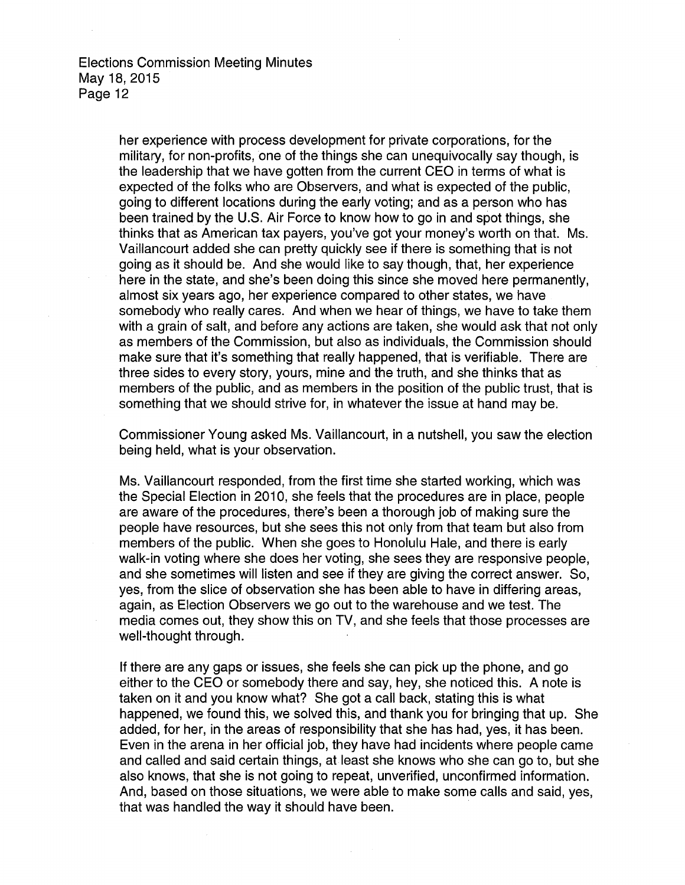her experience with process development for private corporations, for the military, for non-profits, one of the things she can unequivocally say though, is the leadership that we have gotten from the current CEO in terms of what is expected of the folks who are Observers, and what is expected of the public, going to different locations during the early voting; and as a person who has been trained by the U.S. Air Force to know how to go in and spot things, she thinks that as American tax payers, you've got your money's worth on that. Ms. Vaillancourt added she can pretty quickly see if there is something that is not going as it should be. And she would like to say though, that, her experience here in the state, and she's been doing this since she moved here permanently, almost six years ago, her experience compared to other states, we have somebody who really cares. And when we hear of things, we have to take them with a grain of salt, and before any actions are taken, she would ask that not only as members of the Commission, but also as individuals, the Commission should make sure that it's something that really happened, that is verifiable. There are three sides to every story, yours, mine and the truth, and she thinks that as members of the public, and as members in the position of the public trust, that is something that we should strive for, in whatever the issue at hand may be.

Commissioner Young asked Ms. Vaillancourt, in a nutshell, you saw the election being held, what is your observation.

Ms. Vaillancourt responded, from the first time she started working, which was the Special Election in 2010, she feels that the procedures are in place, people are aware of the procedures, there's been a thorough job of making sure the people have resources, but she sees this not only from that team but also from members of the public. When she goes to Honolulu Hale, and there is early walk-in voting where she does her voting, she sees they are responsive people, and she sometimes will listen and see if they are giving the correct answer. So, yes, from the slice of observation she has been able to have in differing areas, again, as Election Observers we go out to the warehouse and we test. The media comes out, they show this on TV, and she feels that those processes are well-thought through.

If there are any gaps or issues, she feels she can pick up the phone, and go either to the CEO or somebody there and say, hey, she noticed this. A note is taken on it and you know what? She got a call back, stating this is what happened, we found this, we solved this, and thank you for bringing that up. She added, for her, in the areas of responsibility that she has had, yes, it has been. Even in the arena in her official job, they have had incidents where people came and called and said certain things, at least she knows who she can go to, but she also knows, that she is not going to repeat, unverified, unconfirmed information. And, based on those situations, we were able to make some calls and said, yes, that was handled the way it should have been.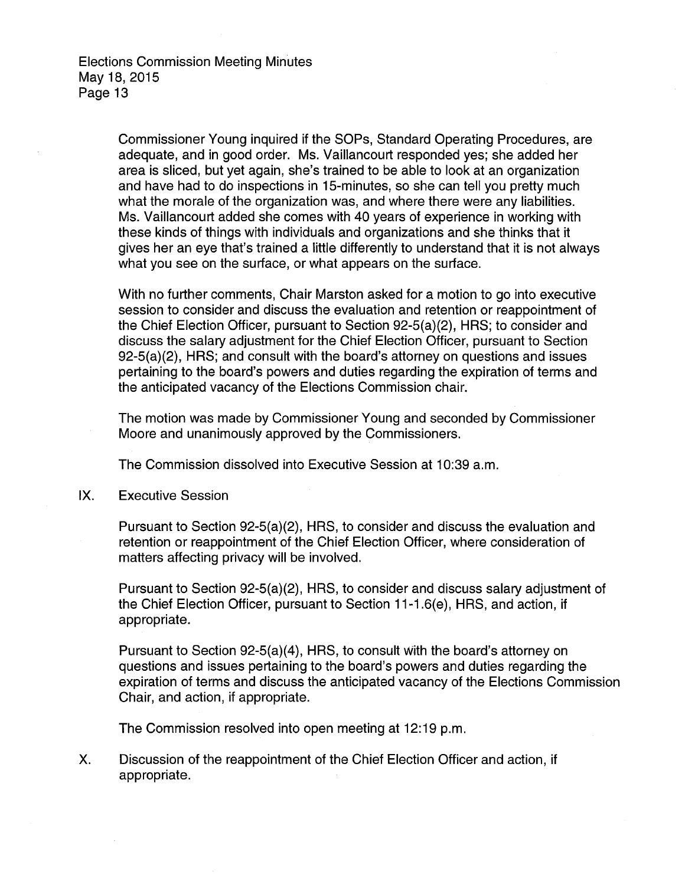> Commissioner Young inquired if the SOPs, Standard Operating Procedures, are adequate, and in good order. Ms. Vaillancourt responded yes; she added her area is sliced, but yet again, she's trained to be able to look at an organization and have had to do inspections in 15-minutes, so she can tell you pretty much what the morale of the organization was, and where there were any liabilities. Ms. Vaillancourt added she comes with 40 years of experience in working with these kinds of things with individuals and organizations and she thinks that it gives her an eye that's trained a little differently to understand that it is not always what you see on the surface, or what appears on the surface.

> With no further comments, Chair Marston asked for a motion to go into executive session to consider and discuss the evaluation and retention or reappointment of the Chief Election Officer, pursuant to Section 92-5(a)(2), HRS; to consider and discuss the salary adjustment for the Chief Election Officer, pursuant to Section 92-5(a)(2), HRS; and consult with the board's attorney on questions and issues pertaining to the board's powers and duties regarding the expiration of terms and the anticipated vacancy of the Elections Commission chair.

> The motion was made by Commissioner Young and seconded by Commissioner Moore and unanimously approved by the Commissioners.

The Commission dissolved into Executive Session at 10:39 a.m.

IX. Executive Session

Pursuant to Section 92-5(a)(2), HRS, to consider and discuss the evaluation and retention or reappointment of the Chief Election Officer, where consideration of matters affecting privacy will be involved.

Pursuant to Section 92-5(a)(2), HRS, to consider and discuss salary adjustment of the Chief Election Officer, pursuant to Section 11-1.6(e), HRS, and action, if appropriate.

Pursuant to Section 92-5(a)(4), HRS, to consult With the board's attorney on questions and issues pertaining to the board's powers and duties regarding the expiration of terms and discuss the anticipated vacancy of the Elections Commission Chair, and action, if appropriate.

The Commission resolved into open meeting at 12:19 p.m.

X. Discussion of the reappointment of the Chief Election Officer and action, if appropriate.